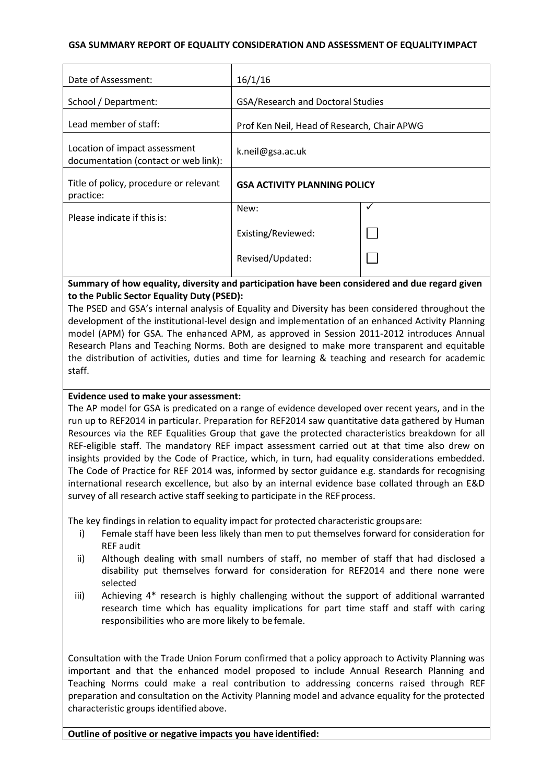#### **GSA SUMMARY REPORT OF EQUALITY CONSIDERATION AND ASSESSMENT OF EQUALITYIMPACT**

| Date of Assessment:                                                   | 16/1/16                                     |   |  |
|-----------------------------------------------------------------------|---------------------------------------------|---|--|
| School / Department:                                                  | <b>GSA/Research and Doctoral Studies</b>    |   |  |
| Lead member of staff:                                                 | Prof Ken Neil, Head of Research, Chair APWG |   |  |
| Location of impact assessment<br>documentation (contact or web link): | k.neil@gsa.ac.uk                            |   |  |
| Title of policy, procedure or relevant<br>practice:                   | <b>GSA ACTIVITY PLANNING POLICY</b>         |   |  |
| Please indicate if this is:                                           | New:                                        | ✓ |  |
|                                                                       | Existing/Reviewed:                          |   |  |
|                                                                       | Revised/Updated:                            |   |  |
|                                                                       |                                             |   |  |

## **Summary of how equality, diversity and participation have been considered and due regard given to the Public Sector Equality Duty (PSED):**

The PSED and GSA's internal analysis of Equality and Diversity has been considered throughout the development of the institutional-level design and implementation of an enhanced Activity Planning model (APM) for GSA. The enhanced APM, as approved in Session 2011-2012 introduces Annual Research Plans and Teaching Norms. Both are designed to make more transparent and equitable the distribution of activities, duties and time for learning & teaching and research for academic staff.

#### **Evidence used to make your assessment:**

The AP model for GSA is predicated on a range of evidence developed over recent years, and in the run up to REF2014 in particular. Preparation for REF2014 saw quantitative data gathered by Human Resources via the REF Equalities Group that gave the protected characteristics breakdown for all REF-eligible staff. The mandatory REF impact assessment carried out at that time also drew on insights provided by the Code of Practice, which, in turn, had equality considerations embedded. The Code of Practice for REF 2014 was, informed by sector guidance e.g. standards for recognising international research excellence, but also by an internal evidence base collated through an E&D survey of all research active staff seeking to participate in the REFprocess.

The key findings in relation to equality impact for protected characteristic groupsare:

- i) Female staff have been less likely than men to put themselves forward for consideration for REF audit
- ii) Although dealing with small numbers of staff, no member of staff that had disclosed a disability put themselves forward for consideration for REF2014 and there none were selected
- iii) Achieving 4\* research is highly challenging without the support of additional warranted research time which has equality implications for part time staff and staff with caring responsibilities who are more likely to be female.

Consultation with the Trade Union Forum confirmed that a policy approach to Activity Planning was important and that the enhanced model proposed to include Annual Research Planning and Teaching Norms could make a real contribution to addressing concerns raised through REF preparation and consultation on the Activity Planning model and advance equality for the protected characteristic groups identified above.

**Outline of positive or negative impacts you have identified:**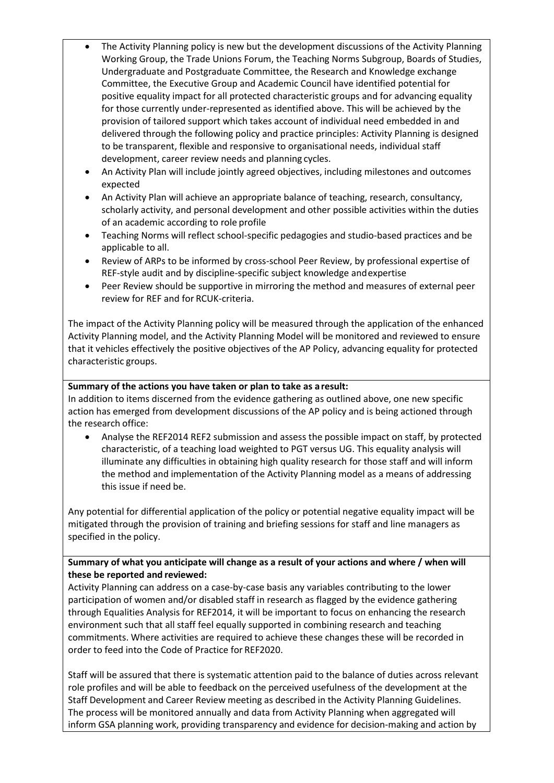- The Activity Planning policy is new but the development discussions of the Activity Planning Working Group, the Trade Unions Forum, the Teaching Norms Subgroup, Boards of Studies, Undergraduate and Postgraduate Committee, the Research and Knowledge exchange Committee, the Executive Group and Academic Council have identified potential for positive equality impact for all protected characteristic groups and for advancing equality for those currently under-represented as identified above. This will be achieved by the provision of tailored support which takes account of individual need embedded in and delivered through the following policy and practice principles: Activity Planning is designed to be transparent, flexible and responsive to organisational needs, individual staff development, career review needs and planning cycles.
- An Activity Plan will include jointly agreed objectives, including milestones and outcomes expected
- An Activity Plan will achieve an appropriate balance of teaching, research, consultancy, scholarly activity, and personal development and other possible activities within the duties of an academic according to role profile
- Teaching Norms will reflect school-specific pedagogies and studio-based practices and be applicable to all.
- Review of ARPs to be informed by cross-school Peer Review, by professional expertise of REF-style audit and by discipline-specific subject knowledge andexpertise
- Peer Review should be supportive in mirroring the method and measures of external peer review for REF and for RCUK-criteria.

The impact of the Activity Planning policy will be measured through the application of the enhanced Activity Planning model, and the Activity Planning Model will be monitored and reviewed to ensure that it vehicles effectively the positive objectives of the AP Policy, advancing equality for protected characteristic groups.

#### **Summary of the actions you have taken or plan to take as aresult:**

In addition to items discerned from the evidence gathering as outlined above, one new specific action has emerged from development discussions of the AP policy and is being actioned through the research office:

 Analyse the REF2014 REF2 submission and assess the possible impact on staff, by protected characteristic, of a teaching load weighted to PGT versus UG. This equality analysis will illuminate any difficulties in obtaining high quality research for those staff and will inform the method and implementation of the Activity Planning model as a means of addressing this issue if need be.

Any potential for differential application of the policy or potential negative equality impact will be mitigated through the provision of training and briefing sessions for staff and line managers as specified in the policy.

### **Summary of what you anticipate will change as a result of your actions and where / when will these be reported and reviewed:**

Activity Planning can address on a case-by-case basis any variables contributing to the lower participation of women and/or disabled staff in research as flagged by the evidence gathering through Equalities Analysis for REF2014, it will be important to focus on enhancing the research environment such that all staff feel equally supported in combining research and teaching commitments. Where activities are required to achieve these changes these will be recorded in order to feed into the Code of Practice for REF2020.

Staff will be assured that there is systematic attention paid to the balance of duties across relevant role profiles and will be able to feedback on the perceived usefulness of the development at the Staff Development and Career Review meeting as described in the Activity Planning Guidelines. The process will be monitored annually and data from Activity Planning when aggregated will inform GSA planning work, providing transparency and evidence for decision-making and action by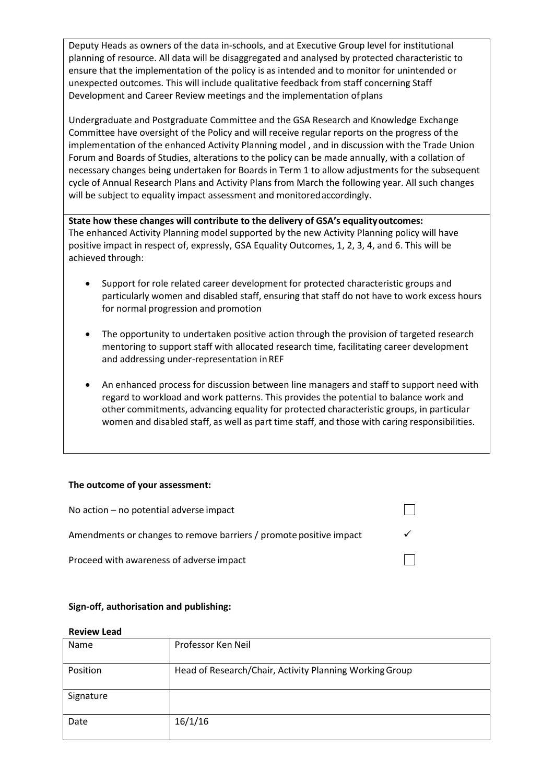Deputy Heads as owners of the data in-schools, and at Executive Group level for institutional planning of resource. All data will be disaggregated and analysed by protected characteristic to ensure that the implementation of the policy is as intended and to monitor for unintended or unexpected outcomes. This will include qualitative feedback from staff concerning Staff Development and Career Review meetings and the implementation ofplans

Undergraduate and Postgraduate Committee and the GSA Research and Knowledge Exchange Committee have oversight of the Policy and will receive regular reports on the progress of the implementation of the enhanced Activity Planning model , and in discussion with the Trade Union Forum and Boards of Studies, alterations to the policy can be made annually, with a collation of necessary changes being undertaken for Boards in Term 1 to allow adjustments for the subsequent cycle of Annual Research Plans and Activity Plans from March the following year. All such changes will be subject to equality impact assessment and monitoredaccordingly.

**State how these changes will contribute to the delivery of GSA's equalityoutcomes:** The enhanced Activity Planning model supported by the new Activity Planning policy will have positive impact in respect of, expressly, GSA Equality Outcomes, 1, 2, 3, 4, and 6. This will be achieved through:

- Support for role related career development for protected characteristic groups and particularly women and disabled staff, ensuring that staff do not have to work excess hours for normal progression and promotion
- The opportunity to undertaken positive action through the provision of targeted research mentoring to support staff with allocated research time, facilitating career development and addressing under-representation inREF
- An enhanced process for discussion between line managers and staff to support need with regard to workload and work patterns. This provides the potential to balance work and other commitments, advancing equality for protected characteristic groups, in particular women and disabled staff, as well as part time staff, and those with caring responsibilities.

#### **The outcome of your assessment:**

| No action $-$ no potential adverse impact                          |  |
|--------------------------------------------------------------------|--|
| Amendments or changes to remove barriers / promote positive impact |  |
| Proceed with awareness of adverse impact                           |  |

#### **Sign-off, authorisation and publishing:**

#### **Review Lead**

| <b>Name</b> | Professor Ken Neil                                      |
|-------------|---------------------------------------------------------|
| Position    | Head of Research/Chair, Activity Planning Working Group |
| Signature   |                                                         |
| Date        | 16/1/16                                                 |